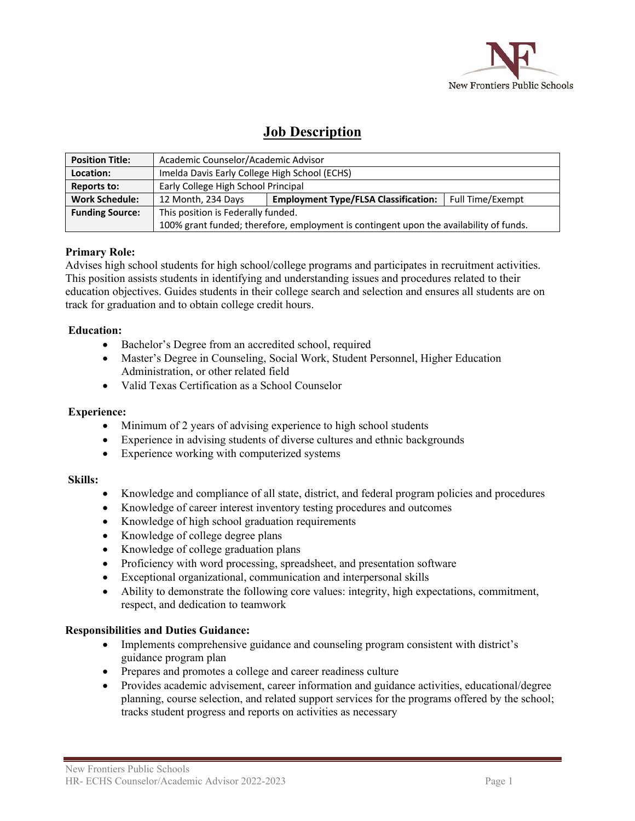

# **Job Description**

| <b>Position Title:</b> | Academic Counselor/Academic Advisor                                                    |                                             |                  |
|------------------------|----------------------------------------------------------------------------------------|---------------------------------------------|------------------|
| Location:              | Imelda Davis Early College High School (ECHS)                                          |                                             |                  |
| Reports to:            | Early College High School Principal                                                    |                                             |                  |
| <b>Work Schedule:</b>  | 12 Month, 234 Days                                                                     | <b>Employment Type/FLSA Classification:</b> | Full Time/Exempt |
| <b>Funding Source:</b> | This position is Federally funded.                                                     |                                             |                  |
|                        | 100% grant funded; therefore, employment is contingent upon the availability of funds. |                                             |                  |

## **Primary Role:**

Advises high school students for high school/college programs and participates in recruitment activities. This position assists students in identifying and understanding issues and procedures related to their education objectives. Guides students in their college search and selection and ensures all students are on track for graduation and to obtain college credit hours.

## **Education:**

- Bachelor's Degree from an accredited school, required
- Master's Degree in Counseling, Social Work, Student Personnel, Higher Education Administration, or other related field
- Valid Texas Certification as a School Counselor

## **Experience:**

- Minimum of 2 years of advising experience to high school students
- Experience in advising students of diverse cultures and ethnic backgrounds
- Experience working with computerized systems

## **Skills:**

- Knowledge and compliance of all state, district, and federal program policies and procedures
- Knowledge of career interest inventory testing procedures and outcomes
- Knowledge of high school graduation requirements
- Knowledge of college degree plans
- Knowledge of college graduation plans
- Proficiency with word processing, spreadsheet, and presentation software
- Exceptional organizational, communication and interpersonal skills
- Ability to demonstrate the following core values: integrity, high expectations, commitment, respect, and dedication to teamwork

## **Responsibilities and Duties Guidance:**

- Implements comprehensive guidance and counseling program consistent with district's guidance program plan
- Prepares and promotes a college and career readiness culture
- Provides academic advisement, career information and guidance activities, educational/degree planning, course selection, and related support services for the programs offered by the school; tracks student progress and reports on activities as necessary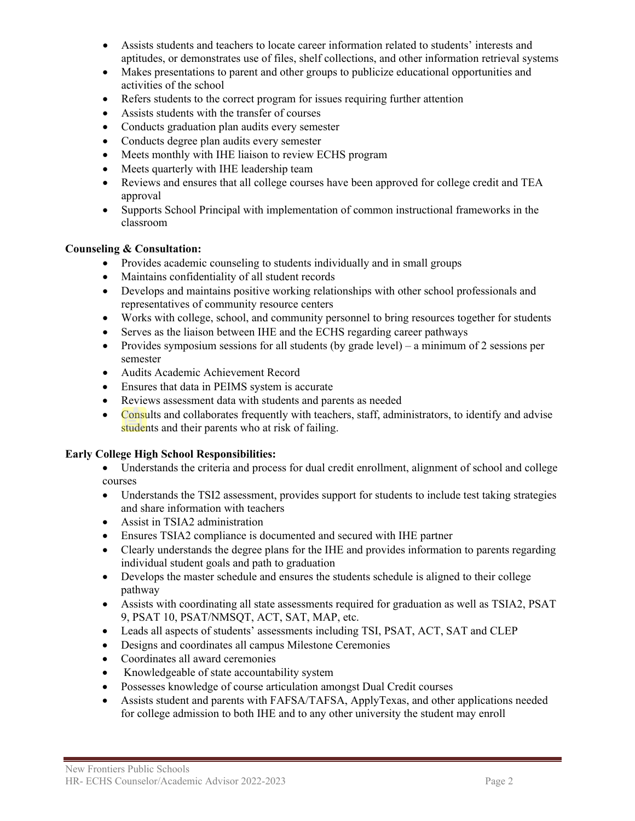- Assists students and teachers to locate career information related to students' interests and aptitudes, or demonstrates use of files, shelf collections, and other information retrieval systems
- Makes presentations to parent and other groups to publicize educational opportunities and activities of the school
- Refers students to the correct program for issues requiring further attention
- Assists students with the transfer of courses
- Conducts graduation plan audits every semester
- Conducts degree plan audits every semester
- Meets monthly with IHE liaison to review ECHS program
- Meets quarterly with IHE leadership team
- Reviews and ensures that all college courses have been approved for college credit and TEA approval
- Supports School Principal with implementation of common instructional frameworks in the classroom

# **Counseling & Consultation:**

- Provides academic counseling to students individually and in small groups
- Maintains confidentiality of all student records
- Develops and maintains positive working relationships with other school professionals and representatives of community resource centers
- Works with college, school, and community personnel to bring resources together for students
- Serves as the liaison between IHE and the ECHS regarding career pathways
- Provides symposium sessions for all students (by grade level) a minimum of 2 sessions per semester
- Audits Academic Achievement Record
- Ensures that data in PEIMS system is accurate
- Reviews assessment data with students and parents as needed
- Consults and collaborates frequently with teachers, staff, administrators, to identify and advise students and their parents who at risk of failing.

# **Early College High School Responsibilities:**

- Understands the criteria and process for dual credit enrollment, alignment of school and college courses
- Understands the TSI2 assessment, provides support for students to include test taking strategies and share information with teachers
- Assist in TSIA2 administration
- Ensures TSIA2 compliance is documented and secured with IHE partner
- Clearly understands the degree plans for the IHE and provides information to parents regarding individual student goals and path to graduation
- Develops the master schedule and ensures the students schedule is aligned to their college pathway
- Assists with coordinating all state assessments required for graduation as well as TSIA2, PSAT 9, PSAT 10, PSAT/NMSQT, ACT, SAT, MAP, etc.
- Leads all aspects of students' assessments including TSI, PSAT, ACT, SAT and CLEP
- Designs and coordinates all campus Milestone Ceremonies
- Coordinates all award ceremonies
- Knowledgeable of state accountability system
- Possesses knowledge of course articulation amongst Dual Credit courses
- Assists student and parents with FAFSA/TAFSA, ApplyTexas, and other applications needed for college admission to both IHE and to any other university the student may enroll